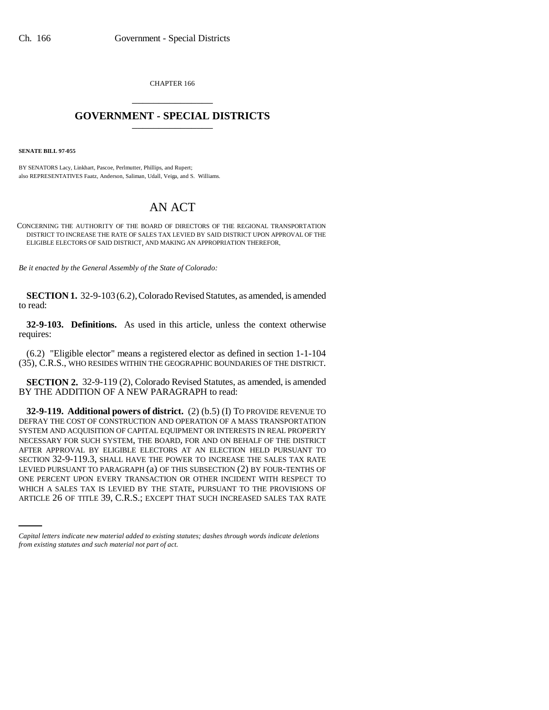CHAPTER 166 \_\_\_\_\_\_\_\_\_\_\_\_\_\_\_

## **GOVERNMENT - SPECIAL DISTRICTS** \_\_\_\_\_\_\_\_\_\_\_\_\_\_\_

**SENATE BILL 97-055**

BY SENATORS Lacy, Linkhart, Pascoe, Perlmutter, Phillips, and Rupert; also REPRESENTATIVES Faatz, Anderson, Saliman, Udall, Veiga, and S. Williams.

## AN ACT

CONCERNING THE AUTHORITY OF THE BOARD OF DIRECTORS OF THE REGIONAL TRANSPORTATION DISTRICT TO INCREASE THE RATE OF SALES TAX LEVIED BY SAID DISTRICT UPON APPROVAL OF THE ELIGIBLE ELECTORS OF SAID DISTRICT, AND MAKING AN APPROPRIATION THEREFOR.

*Be it enacted by the General Assembly of the State of Colorado:*

**SECTION 1.** 32-9-103 (6.2), Colorado Revised Statutes, as amended, is amended to read:

**32-9-103. Definitions.** As used in this article, unless the context otherwise requires:

(6.2) "Eligible elector" means a registered elector as defined in section 1-1-104 (35), C.R.S., WHO RESIDES WITHIN THE GEOGRAPHIC BOUNDARIES OF THE DISTRICT.

**SECTION 2.** 32-9-119 (2), Colorado Revised Statutes, as amended, is amended BY THE ADDITION OF A NEW PARAGRAPH to read:

ONE PERCENT UPON EVERY TRANSACTION OR OTHER INCIDENT WITH RESPECT TO **32-9-119. Additional powers of district.** (2) (b.5) (I) TO PROVIDE REVENUE TO DEFRAY THE COST OF CONSTRUCTION AND OPERATION OF A MASS TRANSPORTATION SYSTEM AND ACQUISITION OF CAPITAL EQUIPMENT OR INTERESTS IN REAL PROPERTY NECESSARY FOR SUCH SYSTEM, THE BOARD, FOR AND ON BEHALF OF THE DISTRICT AFTER APPROVAL BY ELIGIBLE ELECTORS AT AN ELECTION HELD PURSUANT TO SECTION 32-9-119.3, SHALL HAVE THE POWER TO INCREASE THE SALES TAX RATE LEVIED PURSUANT TO PARAGRAPH (a) OF THIS SUBSECTION (2) BY FOUR-TENTHS OF WHICH A SALES TAX IS LEVIED BY THE STATE, PURSUANT TO THE PROVISIONS OF ARTICLE 26 OF TITLE 39, C.R.S.; EXCEPT THAT SUCH INCREASED SALES TAX RATE

*Capital letters indicate new material added to existing statutes; dashes through words indicate deletions from existing statutes and such material not part of act.*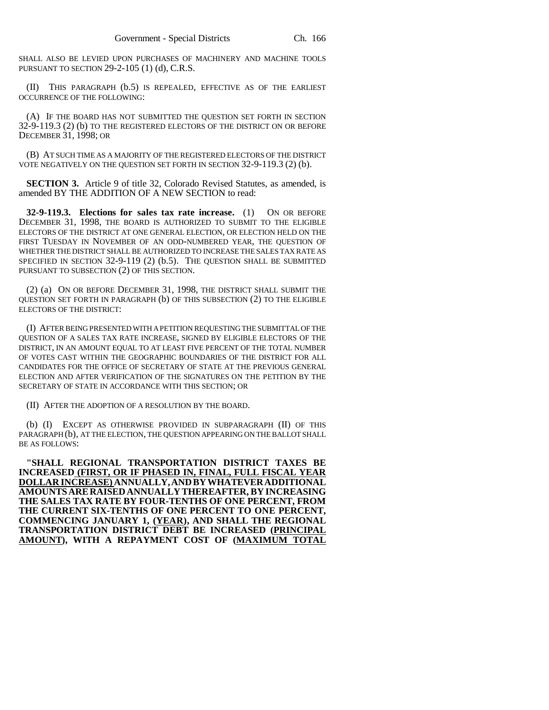SHALL ALSO BE LEVIED UPON PURCHASES OF MACHINERY AND MACHINE TOOLS PURSUANT TO SECTION 29-2-105 (1) (d), C.R.S.

(II) THIS PARAGRAPH (b.5) IS REPEALED, EFFECTIVE AS OF THE EARLIEST OCCURRENCE OF THE FOLLOWING:

(A) IF THE BOARD HAS NOT SUBMITTED THE QUESTION SET FORTH IN SECTION 32-9-119.3 (2) (b) TO THE REGISTERED ELECTORS OF THE DISTRICT ON OR BEFORE DECEMBER 31, 1998; OR

(B) AT SUCH TIME AS A MAJORITY OF THE REGISTERED ELECTORS OF THE DISTRICT VOTE NEGATIVELY ON THE QUESTION SET FORTH IN SECTION 32-9-119.3 (2) (b).

**SECTION 3.** Article 9 of title 32, Colorado Revised Statutes, as amended, is amended BY THE ADDITION OF A NEW SECTION to read:

**32-9-119.3. Elections for sales tax rate increase.** (1) ON OR BEFORE DECEMBER 31, 1998, THE BOARD IS AUTHORIZED TO SUBMIT TO THE ELIGIBLE ELECTORS OF THE DISTRICT AT ONE GENERAL ELECTION, OR ELECTION HELD ON THE FIRST TUESDAY IN NOVEMBER OF AN ODD-NUMBERED YEAR, THE QUESTION OF WHETHER THE DISTRICT SHALL BE AUTHORIZED TO INCREASE THE SALES TAX RATE AS SPECIFIED IN SECTION 32-9-119 (2) (b.5). THE QUESTION SHALL BE SUBMITTED PURSUANT TO SUBSECTION (2) OF THIS SECTION.

(2) (a) ON OR BEFORE DECEMBER 31, 1998, THE DISTRICT SHALL SUBMIT THE QUESTION SET FORTH IN PARAGRAPH (b) OF THIS SUBSECTION (2) TO THE ELIGIBLE ELECTORS OF THE DISTRICT:

(I) AFTER BEING PRESENTED WITH A PETITION REQUESTING THE SUBMITTAL OF THE QUESTION OF A SALES TAX RATE INCREASE, SIGNED BY ELIGIBLE ELECTORS OF THE DISTRICT, IN AN AMOUNT EQUAL TO AT LEAST FIVE PERCENT OF THE TOTAL NUMBER OF VOTES CAST WITHIN THE GEOGRAPHIC BOUNDARIES OF THE DISTRICT FOR ALL CANDIDATES FOR THE OFFICE OF SECRETARY OF STATE AT THE PREVIOUS GENERAL ELECTION AND AFTER VERIFICATION OF THE SIGNATURES ON THE PETITION BY THE SECRETARY OF STATE IN ACCORDANCE WITH THIS SECTION; OR

(II) AFTER THE ADOPTION OF A RESOLUTION BY THE BOARD.

(b) (I) EXCEPT AS OTHERWISE PROVIDED IN SUBPARAGRAPH (II) OF THIS PARAGRAPH (b), AT THE ELECTION, THE QUESTION APPEARING ON THE BALLOT SHALL BE AS FOLLOWS:

**"SHALL REGIONAL TRANSPORTATION DISTRICT TAXES BE INCREASED (FIRST, OR IF PHASED IN, FINAL, FULL FISCAL YEAR DOLLAR INCREASE) ANNUALLY,ANDBYWHATEVERADDITIONAL AMOUNTSARERAISEDANNUALLYTHEREAFTER, BY INCREASING THE SALES TAX RATE BY FOUR-TENTHS OF ONE PERCENT, FROM THE CURRENT SIX-TENTHS OF ONE PERCENT TO ONE PERCENT, COMMENCING JANUARY 1, (YEAR), AND SHALL THE REGIONAL TRANSPORTATION DISTRICT DEBT BE INCREASED (PRINCIPAL AMOUNT), WITH A REPAYMENT COST OF (MAXIMUM TOTAL**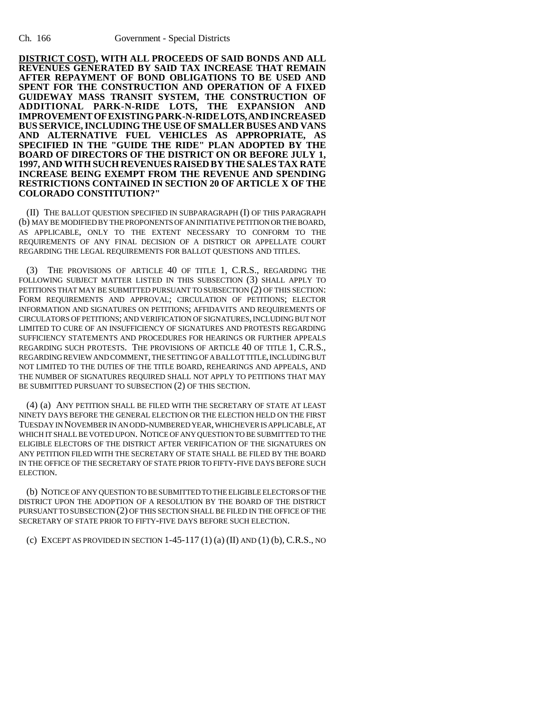**DISTRICT COST), WITH ALL PROCEEDS OF SAID BONDS AND ALL REVENUES GENERATED BY SAID TAX INCREASE THAT REMAIN AFTER REPAYMENT OF BOND OBLIGATIONS TO BE USED AND SPENT FOR THE CONSTRUCTION AND OPERATION OF A FIXED GUIDEWAY MASS TRANSIT SYSTEM, THE CONSTRUCTION OF ADDITIONAL PARK-N-RIDE LOTS, THE EXPANSION AND IMPROVEMENT OF EXISTING PARK-N-RIDE LOTS, AND INCREASED BUS SERVICE, INCLUDING THE USE OF SMALLER BUSES AND VANS AND ALTERNATIVE FUEL VEHICLES AS APPROPRIATE, AS SPECIFIED IN THE "GUIDE THE RIDE" PLAN ADOPTED BY THE BOARD OF DIRECTORS OF THE DISTRICT ON OR BEFORE JULY 1, 1997, AND WITH SUCH REVENUES RAISED BY THE SALES TAX RATE INCREASE BEING EXEMPT FROM THE REVENUE AND SPENDING RESTRICTIONS CONTAINED IN SECTION 20 OF ARTICLE X OF THE COLORADO CONSTITUTION?"**

(II) THE BALLOT QUESTION SPECIFIED IN SUBPARAGRAPH (I) OF THIS PARAGRAPH (b) MAY BE MODIFIED BY THE PROPONENTS OF AN INITIATIVE PETITION OR THE BOARD, AS APPLICABLE, ONLY TO THE EXTENT NECESSARY TO CONFORM TO THE REQUIREMENTS OF ANY FINAL DECISION OF A DISTRICT OR APPELLATE COURT REGARDING THE LEGAL REQUIREMENTS FOR BALLOT QUESTIONS AND TITLES.

(3) THE PROVISIONS OF ARTICLE 40 OF TITLE 1, C.R.S., REGARDING THE FOLLOWING SUBJECT MATTER LISTED IN THIS SUBSECTION (3) SHALL APPLY TO PETITIONS THAT MAY BE SUBMITTED PURSUANT TO SUBSECTION (2) OF THIS SECTION: FORM REQUIREMENTS AND APPROVAL; CIRCULATION OF PETITIONS; ELECTOR INFORMATION AND SIGNATURES ON PETITIONS; AFFIDAVITS AND REQUIREMENTS OF CIRCULATORS OF PETITIONS; AND VERIFICATION OF SIGNATURES, INCLUDING BUT NOT LIMITED TO CURE OF AN INSUFFICIENCY OF SIGNATURES AND PROTESTS REGARDING SUFFICIENCY STATEMENTS AND PROCEDURES FOR HEARINGS OR FURTHER APPEALS REGARDING SUCH PROTESTS. THE PROVISIONS OF ARTICLE 40 OF TITLE 1, C.R.S., REGARDING REVIEW AND COMMENT, THE SETTING OF A BALLOT TITLE, INCLUDING BUT NOT LIMITED TO THE DUTIES OF THE TITLE BOARD, REHEARINGS AND APPEALS, AND THE NUMBER OF SIGNATURES REQUIRED SHALL NOT APPLY TO PETITIONS THAT MAY BE SUBMITTED PURSUANT TO SUBSECTION (2) OF THIS SECTION.

(4) (a) ANY PETITION SHALL BE FILED WITH THE SECRETARY OF STATE AT LEAST NINETY DAYS BEFORE THE GENERAL ELECTION OR THE ELECTION HELD ON THE FIRST TUESDAY IN NOVEMBER IN AN ODD-NUMBERED YEAR, WHICHEVER IS APPLICABLE, AT WHICH IT SHALL BE VOTED UPON. NOTICE OF ANY QUESTION TO BE SUBMITTED TO THE ELIGIBLE ELECTORS OF THE DISTRICT AFTER VERIFICATION OF THE SIGNATURES ON ANY PETITION FILED WITH THE SECRETARY OF STATE SHALL BE FILED BY THE BOARD IN THE OFFICE OF THE SECRETARY OF STATE PRIOR TO FIFTY-FIVE DAYS BEFORE SUCH ELECTION.

(b) NOTICE OF ANY QUESTION TO BE SUBMITTED TO THE ELIGIBLE ELECTORS OF THE DISTRICT UPON THE ADOPTION OF A RESOLUTION BY THE BOARD OF THE DISTRICT PURSUANT TO SUBSECTION (2) OF THIS SECTION SHALL BE FILED IN THE OFFICE OF THE SECRETARY OF STATE PRIOR TO FIFTY-FIVE DAYS BEFORE SUCH ELECTION.

(c) EXCEPT AS PROVIDED IN SECTION  $1-45-117(1)$  (a) (II) AND (1) (b), C.R.S., NO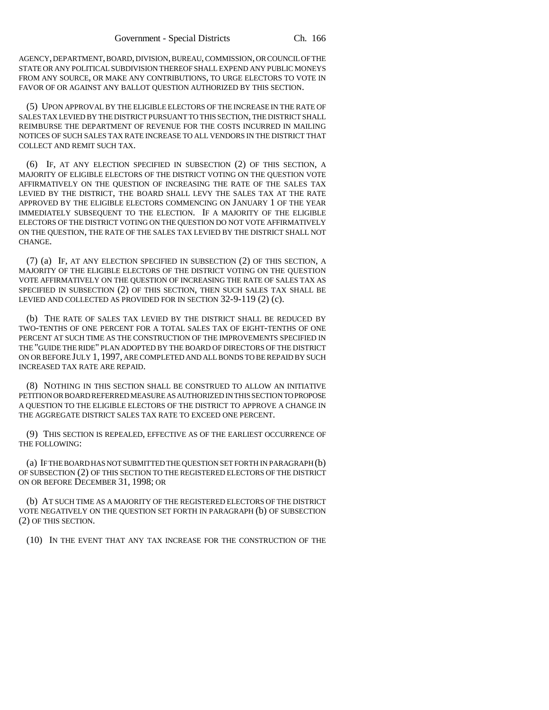AGENCY, DEPARTMENT, BOARD, DIVISION, BUREAU, COMMISSION, OR COUNCIL OF THE STATE OR ANY POLITICAL SUBDIVISION THEREOF SHALL EXPEND ANY PUBLIC MONEYS FROM ANY SOURCE, OR MAKE ANY CONTRIBUTIONS, TO URGE ELECTORS TO VOTE IN FAVOR OF OR AGAINST ANY BALLOT QUESTION AUTHORIZED BY THIS SECTION.

(5) UPON APPROVAL BY THE ELIGIBLE ELECTORS OF THE INCREASE IN THE RATE OF SALES TAX LEVIED BY THE DISTRICT PURSUANT TO THIS SECTION, THE DISTRICT SHALL REIMBURSE THE DEPARTMENT OF REVENUE FOR THE COSTS INCURRED IN MAILING NOTICES OF SUCH SALES TAX RATE INCREASE TO ALL VENDORS IN THE DISTRICT THAT COLLECT AND REMIT SUCH TAX.

(6) IF, AT ANY ELECTION SPECIFIED IN SUBSECTION (2) OF THIS SECTION, A MAJORITY OF ELIGIBLE ELECTORS OF THE DISTRICT VOTING ON THE QUESTION VOTE AFFIRMATIVELY ON THE QUESTION OF INCREASING THE RATE OF THE SALES TAX LEVIED BY THE DISTRICT, THE BOARD SHALL LEVY THE SALES TAX AT THE RATE APPROVED BY THE ELIGIBLE ELECTORS COMMENCING ON JANUARY 1 OF THE YEAR IMMEDIATELY SUBSEQUENT TO THE ELECTION. IF A MAJORITY OF THE ELIGIBLE ELECTORS OF THE DISTRICT VOTING ON THE QUESTION DO NOT VOTE AFFIRMATIVELY ON THE QUESTION, THE RATE OF THE SALES TAX LEVIED BY THE DISTRICT SHALL NOT CHANGE.

(7) (a) IF, AT ANY ELECTION SPECIFIED IN SUBSECTION (2) OF THIS SECTION, A MAJORITY OF THE ELIGIBLE ELECTORS OF THE DISTRICT VOTING ON THE QUESTION VOTE AFFIRMATIVELY ON THE QUESTION OF INCREASING THE RATE OF SALES TAX AS SPECIFIED IN SUBSECTION (2) OF THIS SECTION, THEN SUCH SALES TAX SHALL BE LEVIED AND COLLECTED AS PROVIDED FOR IN SECTION 32-9-119 (2) (c).

(b) THE RATE OF SALES TAX LEVIED BY THE DISTRICT SHALL BE REDUCED BY TWO-TENTHS OF ONE PERCENT FOR A TOTAL SALES TAX OF EIGHT-TENTHS OF ONE PERCENT AT SUCH TIME AS THE CONSTRUCTION OF THE IMPROVEMENTS SPECIFIED IN THE "GUIDE THE RIDE" PLAN ADOPTED BY THE BOARD OF DIRECTORS OF THE DISTRICT ON OR BEFORE JULY 1, 1997, ARE COMPLETED AND ALL BONDS TO BE REPAID BY SUCH INCREASED TAX RATE ARE REPAID.

(8) NOTHING IN THIS SECTION SHALL BE CONSTRUED TO ALLOW AN INITIATIVE PETITION OR BOARD REFERRED MEASURE AS AUTHORIZED IN THIS SECTION TO PROPOSE A QUESTION TO THE ELIGIBLE ELECTORS OF THE DISTRICT TO APPROVE A CHANGE IN THE AGGREGATE DISTRICT SALES TAX RATE TO EXCEED ONE PERCENT.

(9) THIS SECTION IS REPEALED, EFFECTIVE AS OF THE EARLIEST OCCURRENCE OF THE FOLLOWING:

(a) IF THE BOARD HAS NOT SUBMITTED THE QUESTION SET FORTH IN PARAGRAPH (b) OF SUBSECTION (2) OF THIS SECTION TO THE REGISTERED ELECTORS OF THE DISTRICT ON OR BEFORE DECEMBER 31, 1998; OR

(b) AT SUCH TIME AS A MAJORITY OF THE REGISTERED ELECTORS OF THE DISTRICT VOTE NEGATIVELY ON THE QUESTION SET FORTH IN PARAGRAPH (b) OF SUBSECTION (2) OF THIS SECTION.

(10) IN THE EVENT THAT ANY TAX INCREASE FOR THE CONSTRUCTION OF THE